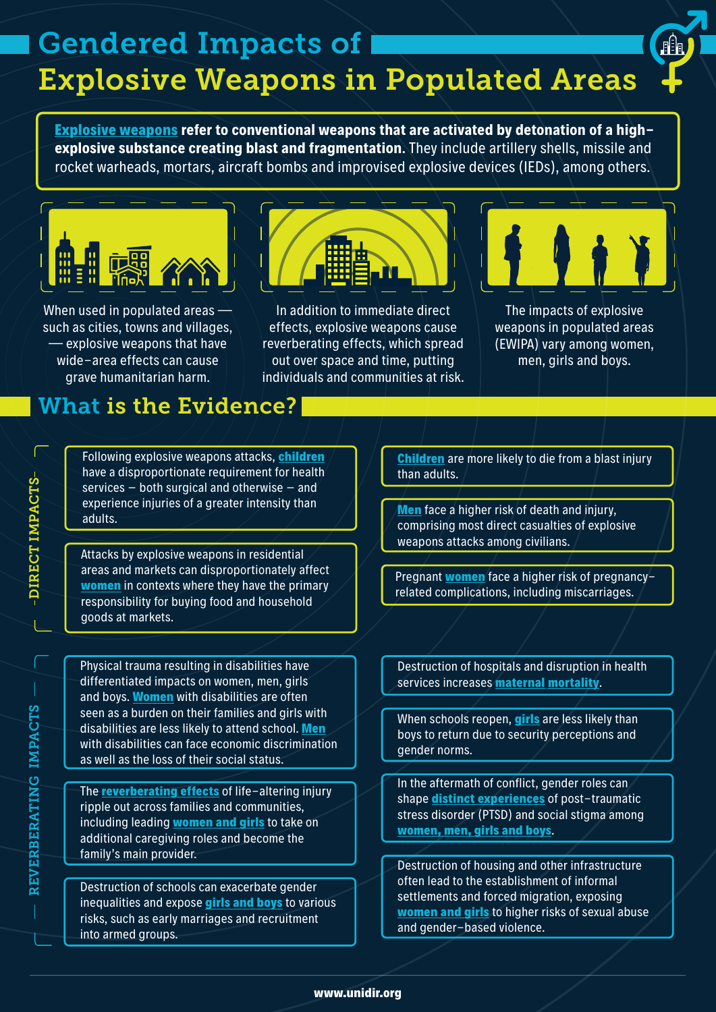# Gendered Impacts of Explosive Weapons in Populated Areas

**[Explosive weapons](https://www.icrc.org/en/document/explosive-weapons-populated-areas-factsheet) refer to conventional weapons that are activated by detonation of a highexplosive substance creating blast and fragmentation**. They include artillery shells, missile and rocket warheads, mortars, aircraft bombs and improvised explosive devices (IEDs), among others.



When used in populated areas such as cities, towns and villages, — explosive weapons that have wide-area effects can cause grave humanitarian harm.



In addition to immediate direct effects, explosive weapons cause reverberating effects, which spread out over space and time, putting individuals and communities at risk.



The impacts of explosive weapons in populated areas (EWIPA) vary among women, men, girls and boys.

## What is the Evidence?

Following explosive weapons attacks, **[children](https://reliefweb.int/sites/reliefweb.int/files/resources/CH1325872.pdf)** have a disproportionate requirement for health services – both surgical and otherwise – and experience injuries of a greater intensity than experience injuries of a greater intensity than<br>adults.

Attacks by explosive weapons in residential areas and markets can disproportionately affect **[women](http://www.reachingcriticalwill.org/images/documents/Publications/WEW.pdf)** in contexts where they have the primary responsibility for buying food and household goods at markets.

Physical trauma resulting in disabilities have differentiated impacts on women, men, girls and boys. **[Women](https://www.hrw.org/report/2020/04/28/disability-not-weakness/discrimination-and-barriers-facing-women-and-girls)** with disabilities are often seen as a burden on their families and girls with disabilities are less likely to attend school. **[Men](https://humanity-inclusion.org.uk/sn_uploads/document/2020-05_Report-YEMEN-Explosive-Weapons-Death-Sentence-to-Civilians_EN_Web.pdf)** with disabilities can face economic discrimination as well as the loss of their social status.

The **[reverberating effects](https://blog.hi.org/wp-content/uploads/2019/09/THE-WAITING-LIST_Final-WEB-SMALLER.pdf)** of life-altering injury ripple out across families and communities, including leading **[women and girls](https://oxfamilibrary.openrepository.com/bitstream/handle/10546/620909/bp-yemen-gendered-impact-explosive-weapons-261119-en.pdf)** to take on additional caregiving roles and become the family's main provider.

Destruction of schools can exacerbate gender inequalities and expose **[girls and boys](https://www.humanitarianresponse.info/sites/www.humanitarianresponse.info/files/documents/files/2017_syria_hno_2.pdf)** to various risks, such as early marriages and recruitment into armed groups.

**[Children](https://reliefweb.int/sites/reliefweb.int/files/resources/CH1325872.pdf)** are more likely to die from a blast injury than adults.

comprising most direct casualties of explosive weapons attacks among civilians.

Pregnant **[women](https://www.wilpf.org/portfolio-items/we-are-still-here-mosulite-women-500-days-after-the-conclusion-of-the-coalition-military-operation/)** face a higher risk of pregnancyrelated complications, including miscarriages.

Destruction of hospitals and disruption in health services increases **maternal [mortality](http://www.reachingcriticalwill.org/images/documents/Publications/WEW.pdf)**.

When schools reopen, **[girls](https://www.ohchr.org/Documents/Countries/IQ/GirlsRightEducation_EN.pdf)** are less likely than boys to return due to security perceptions and gender norms.

In the aftermath of conflict, gender roles can shape **[distinct experiences](https://doi.apa.org/doiLanding?doi=10.1037%2Fh0094976)** of post-traumatic stress disorder (PTSD) and social stigma among **[women, men, girls and boys](https://bmcpsychiatry.biomedcentral.com/articles/10.1186/s12888-019-2420-0)**.

Destruction of housing and other infrastructure often lead to the establishment of informal settlements and forced migration, exposing **[women and girls](https://www.internal-displacement.org/sites/default/files/publications/documents/2010-global-overview2009-global-en.pdf)** to higher risks of sexual abuse and gender-based violence.